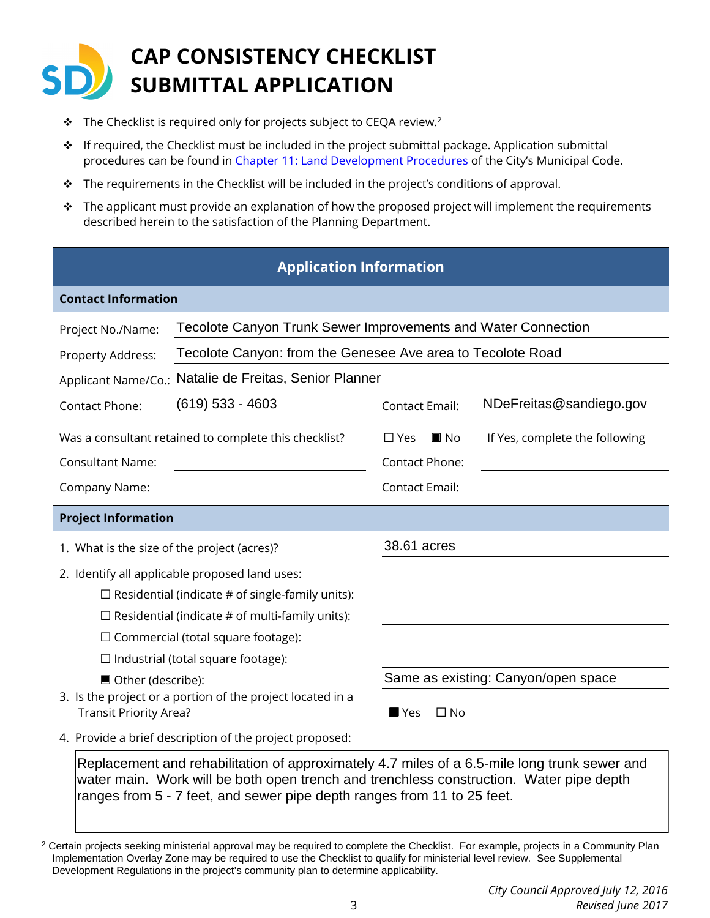## **CAP CONSISTENCY CHECKLIST SUBMITTAL APPLICATION**

- $\cdot \cdot$  The Checklist is required only for projects subject to CEQA review.<sup>2</sup>
- \* If required, the Checklist must be included in the project submittal package. Application submittal procedures can be found in [Chapter 11: Land Development Procedures](http://docs.sandiego.gov/municode/MuniCodeChapter11/Ch11Art02Division01.pdf) of the City's Municipal Code.
- $\div$  The requirements in the Checklist will be included in the project's conditions of approval.
- $\cdot \cdot$  The applicant must provide an explanation of how the proposed project will implement the requirements described herein to the satisfaction of the Planning Department.

## **Application Information**

| <b>Contact Information</b>                                                                                                                                                                                                                                                                                                                                                          |                                                               |                                                          |                                     |  |  |
|-------------------------------------------------------------------------------------------------------------------------------------------------------------------------------------------------------------------------------------------------------------------------------------------------------------------------------------------------------------------------------------|---------------------------------------------------------------|----------------------------------------------------------|-------------------------------------|--|--|
| Project No./Name:                                                                                                                                                                                                                                                                                                                                                                   | Tecolote Canyon Trunk Sewer Improvements and Water Connection |                                                          |                                     |  |  |
| Property Address:                                                                                                                                                                                                                                                                                                                                                                   | Tecolote Canyon: from the Genesee Ave area to Tecolote Road   |                                                          |                                     |  |  |
| Natalie de Freitas, Senior Planner<br>Applicant Name/Co.:                                                                                                                                                                                                                                                                                                                           |                                                               |                                                          |                                     |  |  |
| Contact Phone:                                                                                                                                                                                                                                                                                                                                                                      | $(619)$ 533 - 4603                                            | <b>Contact Email:</b>                                    | NDeFreitas@sandiego.gov             |  |  |
| <b>Consultant Name:</b>                                                                                                                                                                                                                                                                                                                                                             | Was a consultant retained to complete this checklist?         | $\blacksquare$ No<br>$\Box$ Yes<br><b>Contact Phone:</b> | If Yes, complete the following      |  |  |
| Company Name:                                                                                                                                                                                                                                                                                                                                                                       |                                                               | <b>Contact Email:</b>                                    |                                     |  |  |
| <b>Project Information</b>                                                                                                                                                                                                                                                                                                                                                          |                                                               |                                                          |                                     |  |  |
| 1. What is the size of the project (acres)?                                                                                                                                                                                                                                                                                                                                         |                                                               | 38.61 acres                                              |                                     |  |  |
| 2. Identify all applicable proposed land uses:<br>$\Box$ Residential (indicate # of single-family units):<br>$\Box$ Residential (indicate # of multi-family units):<br>$\Box$ Commercial (total square footage):<br>$\Box$ Industrial (total square footage):<br>■ Other (describe):<br>3. Is the project or a portion of the project located in a<br><b>Transit Priority Area?</b> |                                                               | $\Box$ No<br>$\blacksquare$ Yes                          | Same as existing: Canyon/open space |  |  |
| 4. Provide a brief description of the project proposed:                                                                                                                                                                                                                                                                                                                             |                                                               |                                                          |                                     |  |  |

Replacement and rehabilitation of approximately 4.7 miles of a 6.5-mile long trunk sewer and water main. Work will be both open trench and trenchless construction. Water pipe depth ranges from 5 - 7 feet, and sewer pipe depth ranges from 11 to 25 feet.

<sup>&</sup>lt;sup>2</sup> Certain projects seeking ministerial approval may be required to complete the Checklist. For example, projects in a Community Plan Implementation Overlay Zone may be required to use the Checklist to qualify for ministerial level review. See Supplemental Development Regulations in the project's community plan to determine applicability.